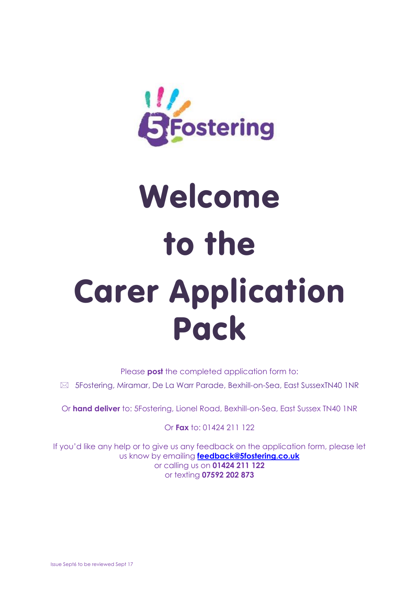

# Welcome to the Carer Application Pack

Please **post** the completed application form to:

5Fostering, Miramar, De La Warr Parade, Bexhill-on-Sea, East SussexTN40 1NR

Or **hand deliver** to: 5Fostering, Lionel Road, Bexhill-on-Sea, East Sussex TN40 1NR

Or **Fax** to: 01424 211 122

If you'd like any help or to give us any feedback on the application form, please let us know by emailing **[feedback@5fostering.co.uk](mailto:feedback@5fostering.co.uk)** or calling us on **01424 211 122** or texting **07592 202 873**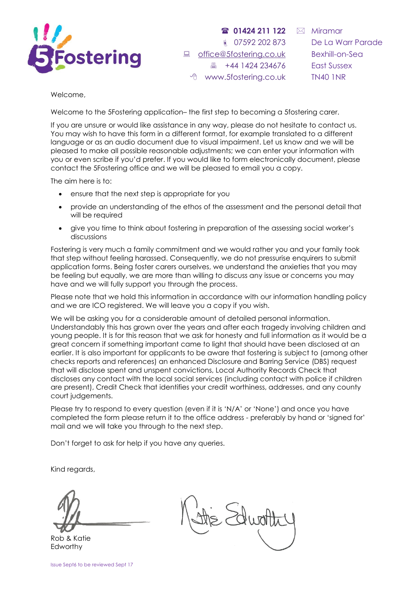

 **01424 211 122** ● 07592 202 873 ■ [office@5fostering.co.uk](mailto:office@5fostering.co.uk) 44 1424 234676 www.5fostering.co.uk

 $\boxtimes$  Miramar De La Warr Parade Bexhill-on-Sea East Sussex TN40 1NR

Welcome,

Welcome to the 5Fostering application– the first step to becoming a 5fostering carer.

If you are unsure or would like assistance in any way, please do not hesitate to contact us. You may wish to have this form in a different format, for example translated to a different language or as an audio document due to visual impairment. Let us know and we will be pleased to make all possible reasonable adjustments; we can enter your information with you or even scribe if you'd prefer. If you would like to form electronically document, please contact the 5Fostering office and we will be pleased to email you a copy.

The aim here is to:

- ensure that the next step is appropriate for you
- provide an understanding of the ethos of the assessment and the personal detail that will be required
- give you time to think about fostering in preparation of the assessing social worker's discussions

Fostering is very much a family commitment and we would rather you and your family took that step without feeling harassed. Consequently, we do not pressurise enquirers to submit application forms. Being foster carers ourselves, we understand the anxieties that you may be feeling but equally, we are more than willing to discuss any issue or concerns you may have and we will fully support you through the process.

Please note that we hold this information in accordance with our information handling policy and we are ICO registered. We will leave you a copy if you wish.

We will be asking you for a considerable amount of detailed personal information. Understandably this has grown over the years and after each tragedy involving children and young people. It is for this reason that we ask for honesty and full information as it would be a great concern if something important came to light that should have been disclosed at an earlier. It is also important for applicants to be aware that fostering is subject to (among other checks reports and references) an enhanced Disclosure and Barring Service (DBS) request that will disclose spent and unspent convictions, Local Authority Records Check that discloses any contact with the local social services (including contact with police if children are present), Credit Check that identifies your credit worthiness, addresses, and any county court judgements.

Please try to respond to every question (even if it is 'N/A' or 'None') and once you have completed the form please return it to the office address - preferably by hand or 'signed for' mail and we will take you through to the next step.

Don't forget to ask for help if you have any queries.

Kind regards,

Rob & Katie Edworthy

Edwat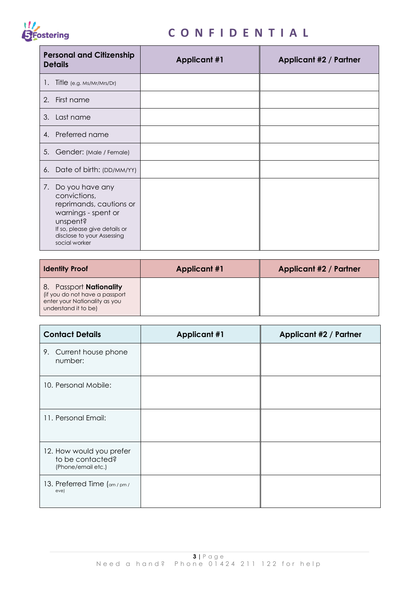

 $\blacksquare$ 

## **C O N F I D E N T I A L**

 $\overline{\phantom{a}}$ 

| <b>Personal and Citizenship</b><br><b>Details</b>                                                                                                                                | <b>Applicant #1</b> | Applicant #2 / Partner |
|----------------------------------------------------------------------------------------------------------------------------------------------------------------------------------|---------------------|------------------------|
| Title (e.g. Ms/Mr/Mrs/Dr)<br>Ι.                                                                                                                                                  |                     |                        |
| 2. First name                                                                                                                                                                    |                     |                        |
| 3. Last name                                                                                                                                                                     |                     |                        |
| 4. Preferred name                                                                                                                                                                |                     |                        |
| 5. Gender: (Male / Female)                                                                                                                                                       |                     |                        |
| 6. Date of birth: (DD/MM/YY)                                                                                                                                                     |                     |                        |
| 7. Do you have any<br>convictions,<br>reprimands, cautions or<br>warnings - spent or<br>unspent?<br>If so, please give details or<br>disclose to your Assessing<br>social worker |                     |                        |

| <b>Identity Proof</b>                                                                                              | <b>Applicant #1</b> | <b>Applicant #2 / Partner</b> |
|--------------------------------------------------------------------------------------------------------------------|---------------------|-------------------------------|
| 8. Passport Nationality<br>(if you do not have a passport<br>enter your Nationality as you<br>understand it to be) |                     |                               |

| <b>Contact Details</b>                                             | <b>Applicant #1</b> | <b>Applicant #2 / Partner</b> |
|--------------------------------------------------------------------|---------------------|-------------------------------|
| 9. Current house phone<br>number:                                  |                     |                               |
| 10. Personal Mobile:                                               |                     |                               |
| 11. Personal Email:                                                |                     |                               |
| 12. How would you prefer<br>to be contacted?<br>(Phone/email etc.) |                     |                               |
| 13. Preferred Time (am/pm/<br>eve)                                 |                     |                               |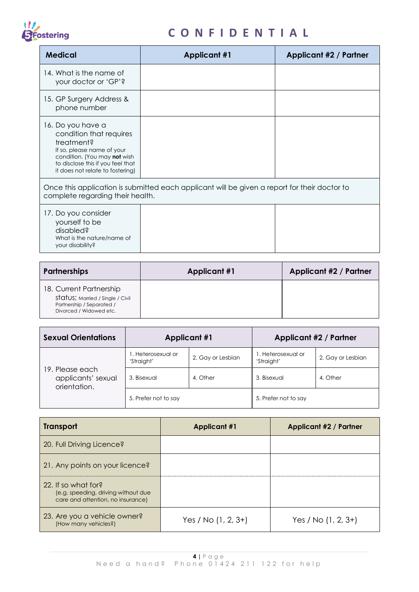

| <b>Medical</b>                                                                                                                                                                                    | <b>Applicant #1</b> | Applicant #2 / Partner |
|---------------------------------------------------------------------------------------------------------------------------------------------------------------------------------------------------|---------------------|------------------------|
| 14. What is the name of<br>your doctor or 'GP'?                                                                                                                                                   |                     |                        |
| 15. GP Surgery Address &<br>phone number                                                                                                                                                          |                     |                        |
| 16. Do you have a<br>condition that requires<br>treatment?<br>If so, please name of your<br>condition. (You may not wish<br>to disclose this if you feel that<br>it does not relate to fostering) |                     |                        |
| Once this application is submitted each applicant will be given a report for their doctor to<br>complete regarding their health.                                                                  |                     |                        |
| 17. Do you consider<br>yourself to be<br>disabled?<br>What is the nature/name of<br>your disability?                                                                                              |                     |                        |

| <b>Partnerships</b>                                                                                                 | <b>Applicant #1</b> | Applicant #2 / Partner |
|---------------------------------------------------------------------------------------------------------------------|---------------------|------------------------|
| 18. Current Partnership<br>status; Married / Single / Civil<br>Partnership / Separated /<br>Divorced / Widowed etc. |                     |                        |

| <b>Sexual Orientations</b>                            | <b>Applicant #1</b>              |                   | Applicant #2 / Partner           |                   |
|-------------------------------------------------------|----------------------------------|-------------------|----------------------------------|-------------------|
|                                                       | 1. Heterosexual or<br>'Straight' | 2. Gay or Lesbian | 1. Heterosexual or<br>'Straight' | 2. Gay or Lesbian |
| 19. Please each<br>applicants' sexual<br>orientation. | 3. Bisexual                      | 4. Other          | 3. Bisexual                      | 4. Other          |
|                                                       | 5. Prefer not to say             |                   | 5. Prefer not to say             |                   |

| <b>Transport</b>                                                                                | <b>Applicant #1</b>   | <b>Applicant #2 / Partner</b> |
|-------------------------------------------------------------------------------------------------|-----------------------|-------------------------------|
| 20. Full Driving Licence?                                                                       |                       |                               |
| 21. Any points on your licence?                                                                 |                       |                               |
| 22. If so what for?<br>(e.g. speeding, driving without due<br>care and attention, no insurance) |                       |                               |
| 23. Are you a vehicle owner?<br>(How many vehicles?)                                            | Yes / No $(1, 2, 3+)$ | Yes / No $(1, 2, 3+)$         |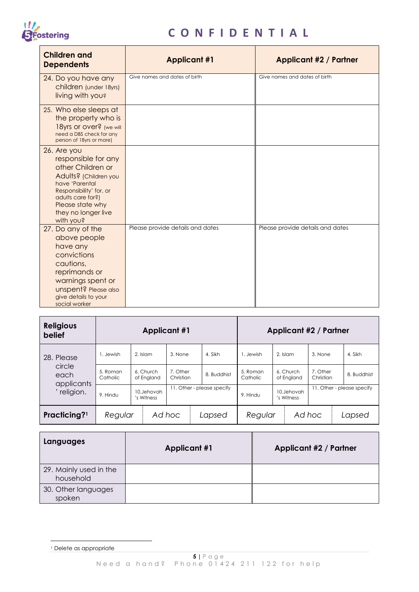

| <b>Children and</b><br><b>Dependents</b>                                                                                                                                                                   | <b>Applicant #1</b>              | <b>Applicant #2 / Partner</b>    |
|------------------------------------------------------------------------------------------------------------------------------------------------------------------------------------------------------------|----------------------------------|----------------------------------|
| 24. Do you have any<br>children (under 18yrs)<br>living with you?                                                                                                                                          | Give names and dates of birth    | Give names and dates of birth    |
| 25. Who else sleeps at<br>the property who is<br>18yrs or over? (we will<br>need a DBS check for any<br>person of 18yrs or more)                                                                           |                                  |                                  |
| 26. Are you<br>responsible for any<br>other Children or<br>Adults? (Children you<br>have 'Parental<br>Responsibility' for, or<br>adults care for?)<br>Please state why<br>they no longer live<br>with you? |                                  |                                  |
| 27. Do any of the<br>above people<br>have any<br>convictions<br>cautions,<br>reprimands or<br>warnings spent or<br>unspent? Please also<br>give details to your<br>social worker                           | Please provide details and dates | Please provide details and dates |

| <b>Religious</b><br>belief   | <b>Applicant #1</b>  |                          |                       |                            | Applicant #2 / Partner |                          |                       |                            |
|------------------------------|----------------------|--------------------------|-----------------------|----------------------------|------------------------|--------------------------|-----------------------|----------------------------|
| 28. Please                   | . Jewish             | 2. Islam                 | 3. None               | 4. Sikh                    | . Jewish               | 2. Islam                 | 3. None               | 4. Sikh                    |
| circle<br>each<br>applicants | 5. Roman<br>Catholic | 6. Church<br>of England  | 7. Other<br>Christian | 8. Buddhist                | 5. Roman<br>Catholic   | 6. Church<br>of England  | 7. Other<br>Christian | 8. Buddhist                |
| religion.                    | 9. Hindu             | 10.Jehovah<br>'s Witness |                       | 11. Other - please specify | 9. Hindu               | 10.Jehovah<br>'s Witness |                       | 11. Other - please specify |
| Practicing? <sup>1</sup>     | Regular              |                          | Ad hoc                | Lapsed                     | Regular                |                          | Ad hoc                | Lapsed                     |

| Languages                           | <b>Applicant #1</b> | <b>Applicant #2 / Partner</b> |
|-------------------------------------|---------------------|-------------------------------|
| 29. Mainly used in the<br>household |                     |                               |
| 30. Other languages<br>spoken       |                     |                               |

1

<sup>1</sup> Delete as appropriate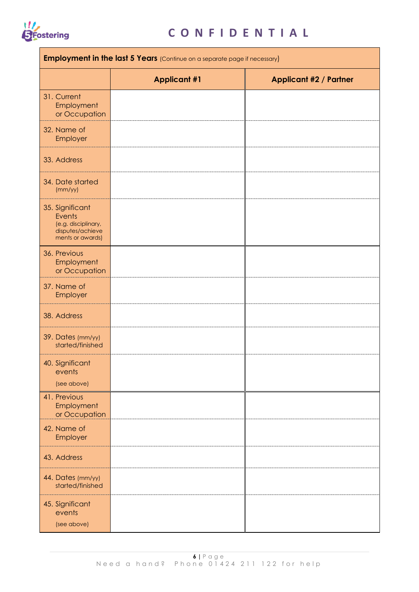

| <b>Employment in the last 5 Years</b> (Continue on a separate page if necessary)         |                     |                               |  |  |
|------------------------------------------------------------------------------------------|---------------------|-------------------------------|--|--|
|                                                                                          | <b>Applicant #1</b> | <b>Applicant #2 / Partner</b> |  |  |
| 31. Current<br>Employment<br>or Occupation                                               |                     |                               |  |  |
| 32. Name of<br>Employer                                                                  |                     |                               |  |  |
| 33. Address                                                                              |                     |                               |  |  |
| 34. Date started<br>(mm/yy)                                                              |                     |                               |  |  |
| 35. Significant<br>Events<br>(e.g. disciplinary,<br>disputes/achieve<br>ments or awards) |                     |                               |  |  |
| 36. Previous<br>Employment<br>or Occupation                                              |                     |                               |  |  |
| 37. Name of<br>Employer                                                                  |                     |                               |  |  |
| 38. Address                                                                              |                     |                               |  |  |
| 39. Dates (mm/yy)<br>started/finished                                                    |                     |                               |  |  |
| 40. Significant<br>events<br>(see above)                                                 |                     |                               |  |  |
| 41. Previous<br>Employment<br>or Occupation                                              |                     |                               |  |  |
| 42. Name of<br>Employer                                                                  |                     |                               |  |  |
| 43. Address                                                                              |                     |                               |  |  |
| 44. Dates (mm/yy)<br>started/finished                                                    |                     |                               |  |  |
| 45. Significant<br>events<br>(see above)                                                 |                     |                               |  |  |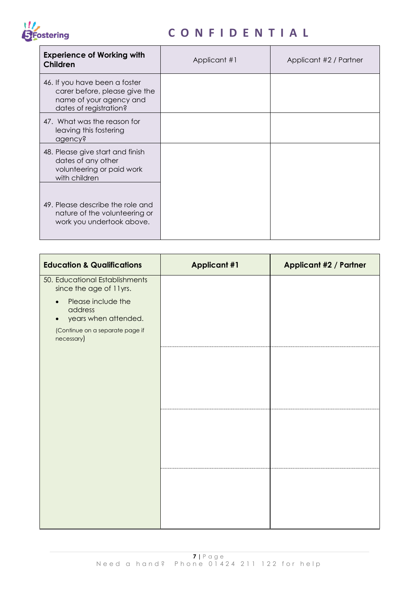## 1/<br>SFostering

| <b>Experience of Working with</b><br>Children                                                                       | Applicant #1 | Applicant #2 / Partner |
|---------------------------------------------------------------------------------------------------------------------|--------------|------------------------|
| 46. If you have been a foster<br>carer before, please give the<br>name of your agency and<br>dates of registration? |              |                        |
| 47. What was the reason for<br>leaving this fostering<br>agency?                                                    |              |                        |
| 48. Please give start and finish<br>dates of any other<br>volunteering or paid work<br>with children                |              |                        |
| 49. Please describe the role and<br>nature of the volunteering or<br>work you undertook above.                      |              |                        |

| <b>Education &amp; Qualifications</b>                                                                                                                                            | <b>Applicant #1</b> | <b>Applicant #2 / Partner</b> |
|----------------------------------------------------------------------------------------------------------------------------------------------------------------------------------|---------------------|-------------------------------|
| 50. Educational Establishments<br>since the age of 11yrs.<br>Please include the<br>$\bullet$<br>address<br>years when attended.<br>(Continue on a separate page if<br>necessary) |                     |                               |
|                                                                                                                                                                                  |                     |                               |
|                                                                                                                                                                                  |                     |                               |
|                                                                                                                                                                                  |                     |                               |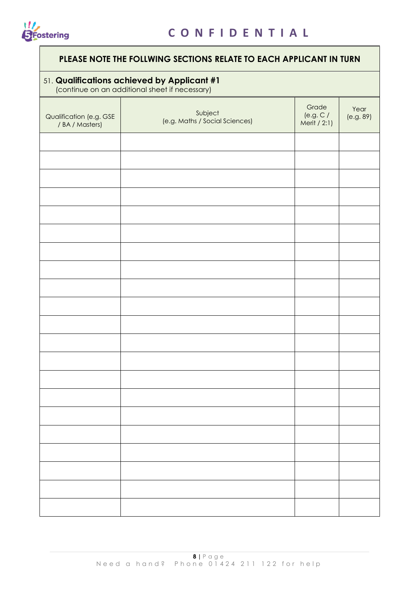

#### **PLEASE NOTE THE FOLLWING SECTIONS RELATE TO EACH APPLICANT IN TURN**

#### 51. **Qualifications achieved by Applicant #1**

(continue on an additional sheet if necessary)

| (COMMING ON AN AQUINONAL SHEET IN HECESSALY) |                                           |                                    |                   |  |  |
|----------------------------------------------|-------------------------------------------|------------------------------------|-------------------|--|--|
| Qualification (e.g. GSE<br>/ BA / Masters)   | Subject<br>(e.g. Maths / Social Sciences) | Grade<br>(e.g. C /<br>Merit / 2:1) | Year<br>(e.g. 89) |  |  |
|                                              |                                           |                                    |                   |  |  |
|                                              |                                           |                                    |                   |  |  |
|                                              |                                           |                                    |                   |  |  |
|                                              |                                           |                                    |                   |  |  |
|                                              |                                           |                                    |                   |  |  |
|                                              |                                           |                                    |                   |  |  |
|                                              |                                           |                                    |                   |  |  |
|                                              |                                           |                                    |                   |  |  |
|                                              |                                           |                                    |                   |  |  |
|                                              |                                           |                                    |                   |  |  |
|                                              |                                           |                                    |                   |  |  |
|                                              |                                           |                                    |                   |  |  |
|                                              |                                           |                                    |                   |  |  |
|                                              |                                           |                                    |                   |  |  |
|                                              |                                           |                                    |                   |  |  |
|                                              |                                           |                                    |                   |  |  |
|                                              |                                           |                                    |                   |  |  |
|                                              |                                           |                                    |                   |  |  |
|                                              |                                           |                                    |                   |  |  |
|                                              |                                           |                                    |                   |  |  |
|                                              |                                           |                                    |                   |  |  |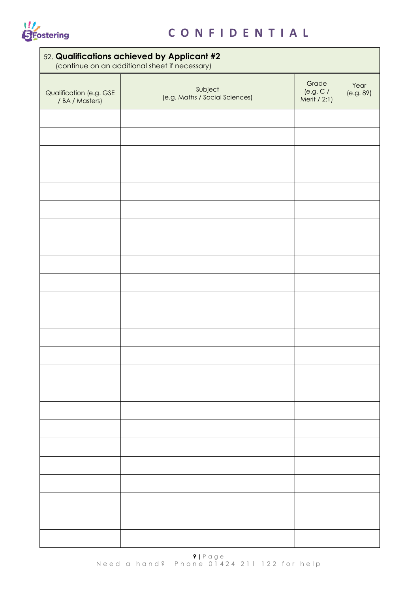

| 52. Qualifications achieved by Applicant #2<br>(continue on an additional sheet if necessary) |                                           |                                    |                   |  |  |
|-----------------------------------------------------------------------------------------------|-------------------------------------------|------------------------------------|-------------------|--|--|
| Qualification (e.g. GSE<br>/ BA / Masters)                                                    | Subject<br>(e.g. Maths / Social Sciences) | Grade<br>(e.g. C /<br>Merit / 2:1) | Year<br>(e.g. 89) |  |  |
|                                                                                               |                                           |                                    |                   |  |  |
|                                                                                               |                                           |                                    |                   |  |  |
|                                                                                               |                                           |                                    |                   |  |  |
|                                                                                               |                                           |                                    |                   |  |  |
|                                                                                               |                                           |                                    |                   |  |  |
|                                                                                               |                                           |                                    |                   |  |  |
|                                                                                               |                                           |                                    |                   |  |  |
|                                                                                               |                                           |                                    |                   |  |  |
|                                                                                               |                                           |                                    |                   |  |  |
|                                                                                               |                                           |                                    |                   |  |  |
|                                                                                               |                                           |                                    |                   |  |  |
|                                                                                               |                                           |                                    |                   |  |  |
|                                                                                               |                                           |                                    |                   |  |  |
|                                                                                               |                                           |                                    |                   |  |  |
|                                                                                               |                                           |                                    |                   |  |  |
|                                                                                               |                                           |                                    |                   |  |  |
|                                                                                               |                                           |                                    |                   |  |  |
|                                                                                               |                                           |                                    |                   |  |  |
|                                                                                               |                                           |                                    |                   |  |  |
|                                                                                               |                                           |                                    |                   |  |  |
|                                                                                               |                                           |                                    |                   |  |  |
|                                                                                               |                                           |                                    |                   |  |  |
|                                                                                               |                                           |                                    |                   |  |  |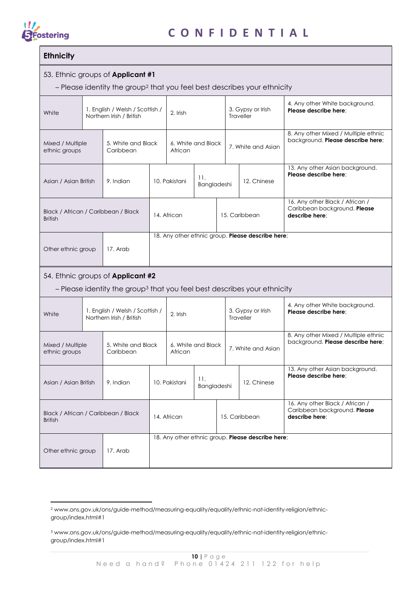

#### **Ethnicity**

**.** 

#### 53. Ethnic groups of **Applicant #1**

– Please identity the group<sup>2</sup> that you feel best describes your ethnicity

| White                                                 |  | 1. English / Welsh / Scottish /<br>Northern Irish / British                                                                      | 2. Irish                                          |                                            |                    |               | 3. Gypsy or Irish<br>Traveller                                                    | 4. Any other White background.<br>Please describe here; |                                                                                   |
|-------------------------------------------------------|--|----------------------------------------------------------------------------------------------------------------------------------|---------------------------------------------------|--------------------------------------------|--------------------|---------------|-----------------------------------------------------------------------------------|---------------------------------------------------------|-----------------------------------------------------------------------------------|
| Mixed / Multiple<br>ethnic groups                     |  | 5. White and Black<br>Caribbean                                                                                                  |                                                   | African                                    | 6. White and Black |               |                                                                                   | 7. White and Asian                                      | 8. Any other Mixed / Multiple ethnic<br>background. Please describe here;         |
| Asian / Asian British                                 |  | 9. Indian                                                                                                                        |                                                   | 10. Pakistani                              | 11.<br>Bangladeshi |               |                                                                                   | 12. Chinese                                             | 13. Any other Asian background.<br>Please describe here;                          |
| Black / African / Caribbean / Black<br><b>British</b> |  |                                                                                                                                  |                                                   | 14. African                                |                    |               |                                                                                   | 15. Caribbean                                           | 16. Any other Black / African /<br>Caribbean background. Please<br>describe here; |
| Other ethnic group                                    |  | 17. Arab                                                                                                                         |                                                   |                                            |                    |               |                                                                                   | 18. Any other ethnic group. Please describe here;       |                                                                                   |
|                                                       |  | 54. Ethnic groups of <b>Applicant #2</b><br>- Please identity the group <sup>3</sup> that you feel best describes your ethnicity |                                                   |                                            |                    |               |                                                                                   |                                                         |                                                                                   |
| White                                                 |  | 1. English / Welsh / Scottish /<br>Northern Irish / British                                                                      |                                                   | 3. Gypsy or Irish<br>2. Irish<br>Traveller |                    |               | 4. Any other White background.<br>Please describe here:                           |                                                         |                                                                                   |
| Mixed / Multiple<br>ethnic groups                     |  | 5. White and Black<br>Caribbean                                                                                                  |                                                   | African                                    | 6. White and Black |               |                                                                                   | 7. White and Asian                                      | 8. Any other Mixed / Multiple ethnic<br>background. Please describe here;         |
| Asian / Asian British                                 |  | 9. Indian                                                                                                                        |                                                   | 10. Pakistani                              | 11.<br>Bangladeshi | 12. Chinese   |                                                                                   |                                                         | 13. Any other Asian background.<br>Please describe here;                          |
| Black / African / Caribbean / Black<br><b>British</b> |  | 14. African                                                                                                                      |                                                   |                                            |                    | 15. Caribbean | 16. Any other Black / African /<br>Caribbean background. Please<br>describe here: |                                                         |                                                                                   |
| Other ethnic group                                    |  | 17. Arab                                                                                                                         | 18. Any other ethnic group. Please describe here; |                                            |                    |               |                                                                                   |                                                         |                                                                                   |

<sup>2</sup> www.ons.gov.uk/ons/guide-method/measuring-equality/equality/ethnic-nat-identity-religion/ethnicgroup/index.html#1

<sup>3</sup> www.ons.gov.uk/ons/guide-method/measuring-equality/equality/ethnic-nat-identity-religion/ethnicgroup/index.html#1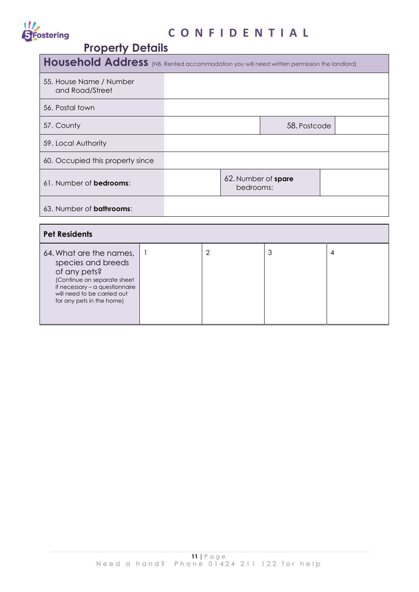## **II**<br>SFostering

## **C O N F I D E N T I A L**

## **Property Details**

| Household Address (NB. Rented accommodation you will need written permission the landlord)                                                                                                 |              |  |                |                                  |              |                |
|--------------------------------------------------------------------------------------------------------------------------------------------------------------------------------------------|--------------|--|----------------|----------------------------------|--------------|----------------|
| 55. House Name / Number<br>and Road/Street                                                                                                                                                 |              |  |                |                                  |              |                |
| 56. Postal town                                                                                                                                                                            |              |  |                |                                  |              |                |
| 57. County                                                                                                                                                                                 |              |  |                |                                  | 58. Postcode |                |
| 59. Local Authority                                                                                                                                                                        |              |  |                |                                  |              |                |
| 60. Occupied this property since                                                                                                                                                           |              |  |                |                                  |              |                |
| 61. Number of bedrooms:                                                                                                                                                                    |              |  |                | 62. Number of spare<br>bedrooms: |              |                |
| 63. Number of <b>bathrooms</b> :                                                                                                                                                           |              |  |                |                                  |              |                |
| <b>Pet Residents</b>                                                                                                                                                                       |              |  |                |                                  |              |                |
| 64. What are the names,<br>species and breeds<br>of any pets?<br>(Continue on separate sheet<br>if necessary - a questionnaire<br>will need to be carried out<br>for any pets in the home) | $\mathbf{1}$ |  | $\overline{2}$ |                                  | 3            | $\overline{4}$ |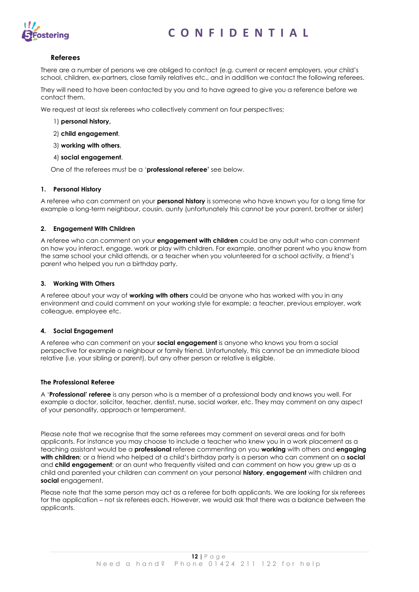

#### **Referees**

There are a number of persons we are obliged to contact (e.g. current or recent employers, your child's school, children, ex-partners, close family relatives etc., and in addition we contact the following referees.

They will need to have been contacted by you and to have agreed to give you a reference before we contact them.

We request at least six referees who collectively comment on four perspectives;

- 1) **personal history,**
- 2) **child engagement**,
- 3) **working with others**,
- 4) **social engagement**.

One of the referees must be a '**professional referee'** see below.

#### **1. Personal History**

A referee who can comment on your **personal history** is someone who have known you for a long time for example a long-term neighbour, cousin, aunty (unfortunately this cannot be your parent, brother or sister)

#### **2. Engagement With Children**

A referee who can comment on your **engagement with children** could be any adult who can comment on how you interact, engage, work or play with children. For example, another parent who you know from the same school your child attends, or a teacher when you volunteered for a school activity, a friend's parent who helped you run a birthday party.

#### **3. Working With Others**

A referee about your way of **working with others** could be anyone who has worked with you in any environment and could comment on your working style for example; a teacher, previous employer, work colleague, employee etc.

#### **4. Social Engagement**

A referee who can comment on your **social engagement** is anyone who knows you from a social perspective for example a neighbour or family friend. Unfortunately, this cannot be an immediate blood relative (i.e. your sibling or parent), but any other person or relative is eligible.

#### **The Professional Referee**

A '**Professional' referee** is any person who is a member of a professional body and knows you well. For example a doctor, solicitor, teacher, dentist, nurse, social worker, etc. They may comment on any aspect of your personality, approach or temperament.

Please note that we recognise that the same referees may comment on several areas and for both applicants. For instance you may choose to include a teacher who knew you in a work placement as a teaching assistant would be a **professional** referee commenting on you **working** with others and **engaging with children**; or a friend who helped at a child's birthday party is a person who can comment on a **social** and **child engagement**; or an aunt who frequently visited and can comment on how you grew up as a child and parented your children can comment on your personal **history**, **engagement** with children and **social** engagement.

Please note that the same person may act as a referee for both applicants. We are looking for six referees for the application – not six referees each. However, we would ask that there was a balance between the applicants.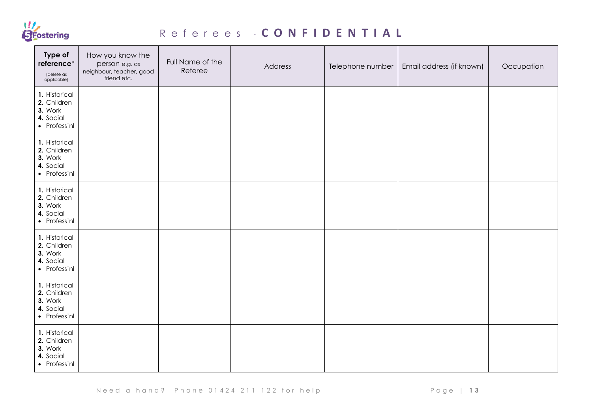

## R e f e r e e s - **C O N F I D E N T I A L**

| Type of<br>reference*<br>(delete as<br>applicable)                   | How you know the<br>person e.g. as<br>neighbour, teacher, good<br>friend etc. | Full Name of the<br>Referee | Address | Telephone number | Email address (if known) | Occupation |
|----------------------------------------------------------------------|-------------------------------------------------------------------------------|-----------------------------|---------|------------------|--------------------------|------------|
| 1. Historical<br>2. Children<br>3. Work<br>4. Social<br>• Profess'nl |                                                                               |                             |         |                  |                          |            |
| 1. Historical<br>2. Children<br>3. Work<br>4. Social<br>• Profess'nl |                                                                               |                             |         |                  |                          |            |
| 1. Historical<br>2. Children<br>3. Work<br>4. Social<br>• Profess'nl |                                                                               |                             |         |                  |                          |            |
| 1. Historical<br>2. Children<br>3. Work<br>4. Social<br>• Profess'nl |                                                                               |                             |         |                  |                          |            |
| 1. Historical<br>2. Children<br>3. Work<br>4. Social<br>• Profess'nl |                                                                               |                             |         |                  |                          |            |
| 1. Historical<br>2. Children<br>3. Work<br>4. Social<br>• Profess'nl |                                                                               |                             |         |                  |                          |            |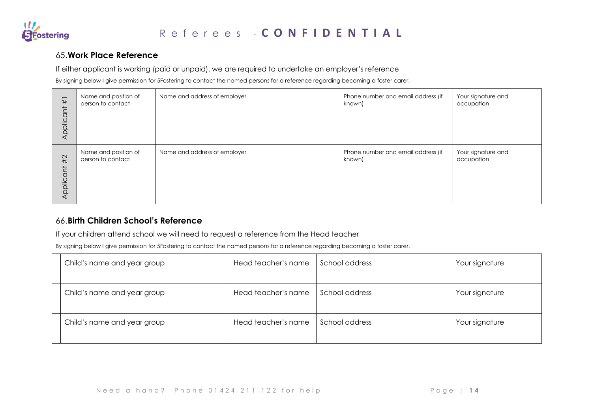

#### 65.**Work Place Reference**

If either applicant is working (paid or unpaid), we are required to undertake an employer's reference

By signing below I give permission for 5Fostering to contact the named persons for a reference regarding becoming a foster carer.

| $^{\rm \#}$<br>Applicant | Name and position of<br>person to contact | Name and address of employer | Phone number and email address (if<br>known) | Your signature and<br>occupation |
|--------------------------|-------------------------------------------|------------------------------|----------------------------------------------|----------------------------------|
| #2                       | Name and position of                      | Name and address of employer | Phone number and email address (if           | Your signature and               |
| Applicant                | person to contact                         |                              | known)                                       | occupation                       |

#### 66.**Birth Children School's Reference**

If your children attend school we will need to request a reference from the Head teacher

By signing below I give permission for 5Fostering to contact the named persons for a reference regarding becoming a foster carer.

| Child's name and year group | Head teacher's name | School address | Your signature |
|-----------------------------|---------------------|----------------|----------------|
| Child's name and year group | Head teacher's name | School address | Your signature |
| Child's name and year group | Head teacher's name | School address | Your signature |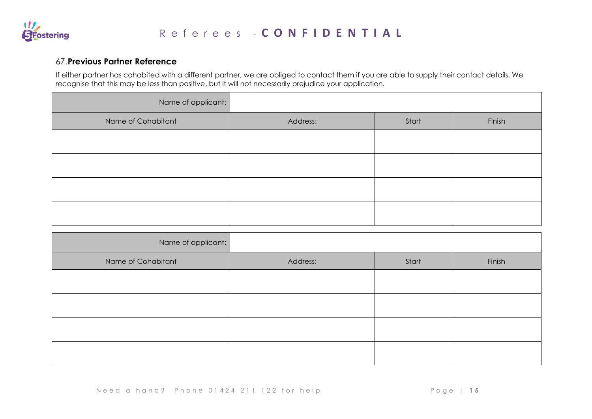

#### 67.**Previous Partner Reference**

If either partner has cohabited with a different partner, we are obliged to contact them if you are able to supply their contact details. We recognise that this may be less than positive, but it will not necessarily prejudice your application.

| Name of applicant: |          |       |        |
|--------------------|----------|-------|--------|
| Name of Cohabitant | Address: | Start | Finish |
|                    |          |       |        |
|                    |          |       |        |
|                    |          |       |        |
|                    |          |       |        |

| Name of applicant: |          |       |        |
|--------------------|----------|-------|--------|
| Name of Cohabitant | Address: | Start | Finish |
|                    |          |       |        |
|                    |          |       |        |
|                    |          |       |        |
|                    |          |       |        |
|                    |          |       |        |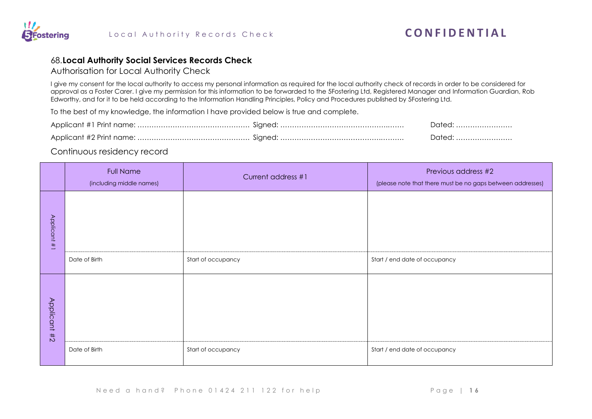

#### 68.**Local Authority Social Services Records Check**

Authorisation for Local Authority Check

I give my consent for the local authority to access my personal information as required for the local authority check of records in order to be considered for approval as a Foster Carer. I give my permission for this information to be forwarded to the 5Fostering Ltd, Registered Manager and Information Guardian, Rob Edworthy, and for it to be held according to the Information Handling Principles, Policy and Procedures published by 5Fostering Ltd.

To the best of my knowledge, the information I have provided below is true and complete.

|  | Dated: |
|--|--------|
|  |        |

#### Continuous residency record

|              | <b>Full Name</b><br>(including middle names) | Current address #1 | Previous address #2<br>(please note that there must be no gaps between addresses) |
|--------------|----------------------------------------------|--------------------|-----------------------------------------------------------------------------------|
| Applicant #1 |                                              |                    |                                                                                   |
|              | Date of Birth                                | Start of occupancy | Start / end date of occupancy                                                     |
| Applicant #2 |                                              |                    |                                                                                   |
|              | Date of Birth                                | Start of occupancy | Start / end date of occupancy                                                     |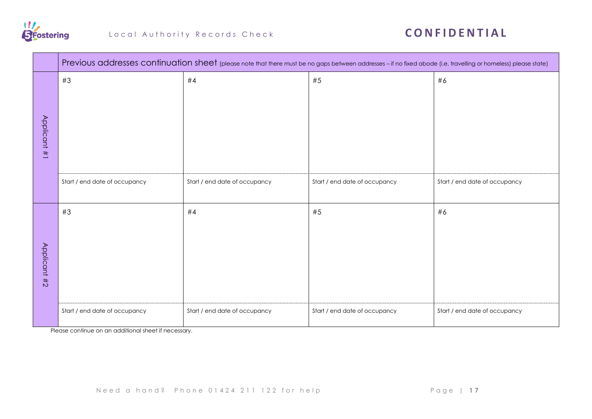

|              | Previous addresses continuation sheet (please note that there must be no gaps between addresses - if no fixed abode (i.e. travelling or homeless) please state) |                               |                               |                               |  |
|--------------|-----------------------------------------------------------------------------------------------------------------------------------------------------------------|-------------------------------|-------------------------------|-------------------------------|--|
| Applicant #1 | #3                                                                                                                                                              | #4                            | #5                            | #6                            |  |
|              | Start / end date of occupancy                                                                                                                                   | Start / end date of occupancy | Start / end date of occupancy | Start / end date of occupancy |  |
| Applicant #2 | #3                                                                                                                                                              | #4                            | #5                            | #6                            |  |
|              | Start / end date of occupancy                                                                                                                                   | Start / end date of occupancy | Start / end date of occupancy | Start / end date of occupancy |  |

Please continue on an additional sheet if necessary.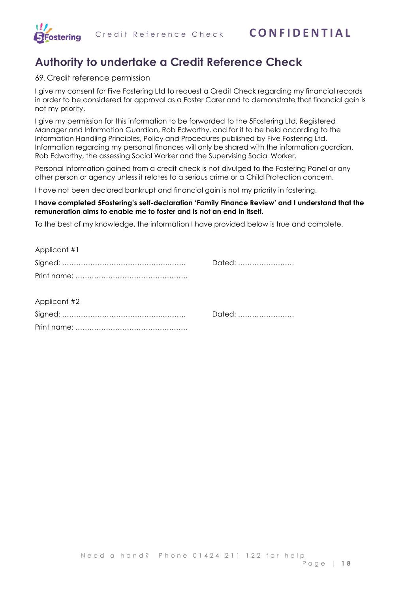

## **Authority to undertake a Credit Reference Check**

#### 69. Credit reference permission

**RFostering** 

I give my consent for Five Fostering Ltd to request a Credit Check regarding my financial records in order to be considered for approval as a Foster Carer and to demonstrate that financial gain is not my priority.

I give my permission for this information to be forwarded to the 5Fostering Ltd, Registered Manager and Information Guardian, Rob Edworthy, and for it to be held according to the Information Handling Principles, Policy and Procedures published by Five Fostering Ltd. Information regarding my personal finances will only be shared with the information guardian. Rob Edworthy, the assessing Social Worker and the Supervising Social Worker.

Personal information gained from a credit check is not divulged to the Fostering Panel or any other person or agency unless it relates to a serious crime or a Child Protection concern.

I have not been declared bankrupt and financial gain is not my priority in fostering.

#### **I have completed 5Fostering's self-declaration 'Family Finance Review' and I understand that the remuneration aims to enable me to foster and is not an end in itself.**

To the best of my knowledge, the information I have provided below is true and complete.

| Dated: |
|--------|
|        |
|        |
|        |
| Dated: |
|        |
|        |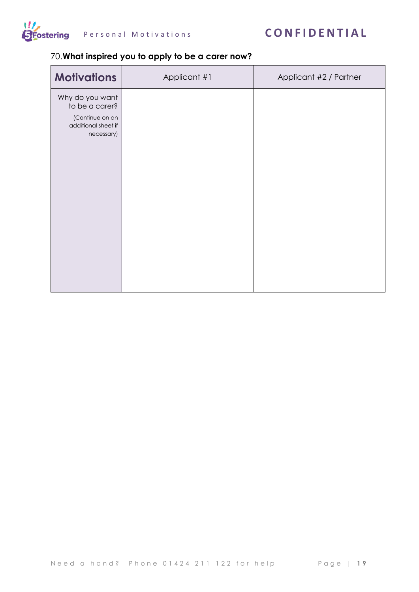

### Personal Motivations **CONFIDENTIAL**

#### 70.**What inspired you to apply to be a carer now?**

| <b>Motivations</b>                                                                        | Applicant #1 | Applicant #2 / Partner |
|-------------------------------------------------------------------------------------------|--------------|------------------------|
| Why do you want<br>to be a carer?<br>(Continue on an<br>additional sheet if<br>necessary) |              |                        |
|                                                                                           |              |                        |